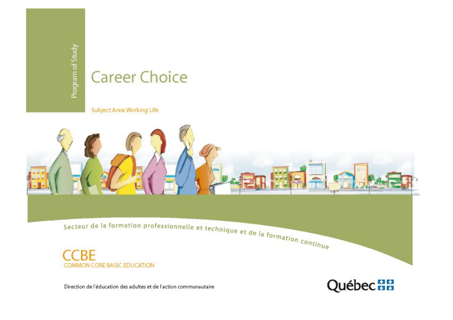# **Career Choice**

Subject Area: Working Life



COMMON CORE BASIC EDUCATION

Direction de l'éducation des adultes et de l'action communautaire

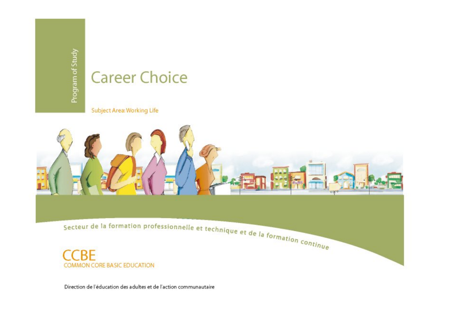# **Career Choice**

Subject Area: Working Life



Direction de l'éducation des adultes et de l'action communautaire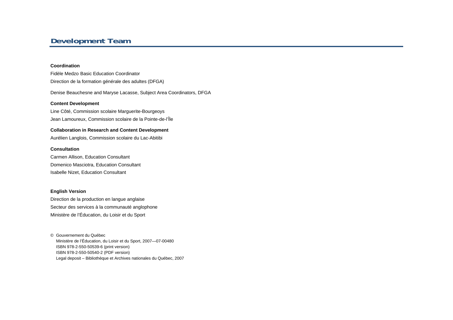## **Development Team**

#### **Coordination**

Fidèle Medzo Basic Education Coordinator Direction de la formation générale des adultes (DFGA)

Denise Beauchesne and Maryse Lacasse, Subject Area Coordinators, DFGA

#### **Content Development**

Line Côté, Commission scolaire Marguerite-Bourgeoys Jean Lamoureux, Commission scolaire de la Pointe-de-l'Île

#### **Collaboration in Research and Content Development**

Aurélien Langlois, Commission scolaire du Lac-Abitibi

#### **Consultation**

Carmen Allison, Education Consultant Domenico Masciotra, Education Consultant Isabelle Nizet, Education Consultant

#### **English Version**

Direction de la production en langue anglaise Secteur des services à la communauté anglophone Ministère de l'Éducation, du Loisir et du Sport

© Gouvernement du Québec Ministère de l'Éducation, du Loisir et du Sport, 2007—07-00480 ISBN 978-2-550-50539-6 (print version) ISBN 978-2-550-50540-2 (PDF version) Legal deposit – Bibliothèque et Archives nationales du Québec, 2007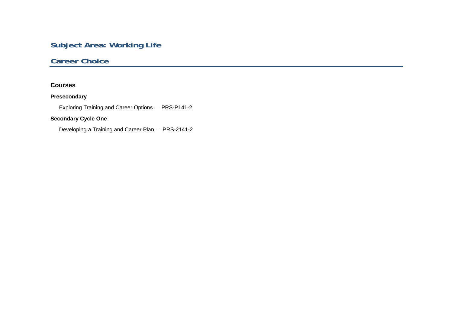# **Subject Area: Working Life**

## **Career Choice**

## **Courses**

## **Presecondary**

Exploring Training and Career Options ⎯ PRS-P141-2

## **Secondary Cycle One**

Developing a Training and Career Plan — PRS-2141-2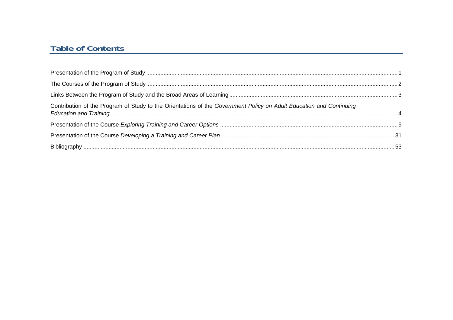## **Table of Contents**

| Contribution of the Program of Study to the Orientations of the Government Policy on Adult Education and Continuing |  |
|---------------------------------------------------------------------------------------------------------------------|--|
|                                                                                                                     |  |
|                                                                                                                     |  |
|                                                                                                                     |  |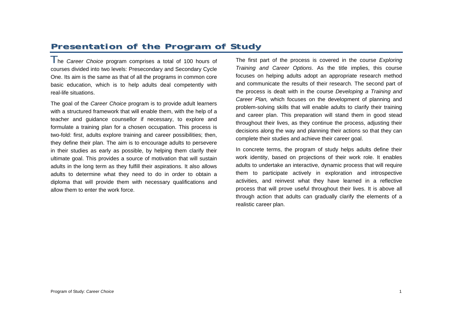# **Presentation of the Program of Study**

The *Career Choice* program comprises a total of 100 hours of courses divided into two levels: Presecondary and Secondary Cycle One. Its aim is the same as that of all the programs in common core basic education, which is to help adults deal competently with real-life situations.

The goal of the *Career Choice* program is to provide adult learners with a structured framework that will enable them, with the help of a teacher and guidance counsellor if necessary, to explore and formulate a training plan for a chosen occupation. This process is two-fold: first, adults explore training and career possibilities; then, they define their plan. The aim is to encourage adults to persevere in their studies as early as possible, by helping them clarify their ultimate goal. This provides a source of motivation that will sustain adults in the long term as they fulfill their aspirations. It also allows adults to determine what they need to do in order to obtain a diploma that will provide them with necessary qualifications and allow them to enter the work force.

The first part of the process is covered in the course *Exploring Training and Career Options*. As the title implies, this course focuses on helping adults adopt an appropriate research method and communicate the results of their research. The second part of the process is dealt with in the course *Developing a Training and Career Plan,* which focuses on the development of planning and problem-solving skills that will enable adults to clarify their training and career plan. This preparation will stand them in good stead throughout their lives, as they continue the process, adjusting their decisions along the way and planning their actions so that they can complete their studies and achieve their career goal.

In concrete terms, the program of study helps adults define their work identity, based on projections of their work role. It enables adults to undertake an interactive, dynamic process that will require them to participate actively in exploration and introspective activities, and reinvest what they have learned in a reflective process that will prove useful throughout their lives. It is above all through action that adults can gradually clarify the elements of a realistic career plan.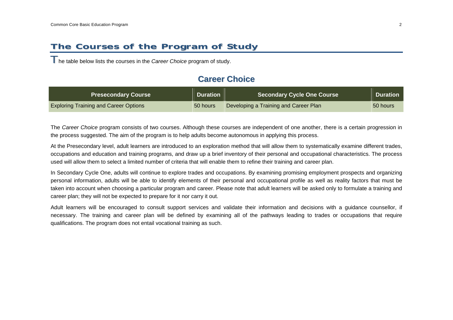# **The Courses of the Program of Study**

The table below lists the courses in the *Career Choice* program of study.

## **Career Choice**

| <b>Presecondary Course</b>                   | <b>Duration</b> | <b>Secondary Cycle One Course</b>     | <b>Duration</b> |
|----------------------------------------------|-----------------|---------------------------------------|-----------------|
| <b>Exploring Training and Career Options</b> | 50 hours        | Developing a Training and Career Plan | 50 hours        |

The *Career Choice* program consists of two courses. Although these courses are independent of one another, there is a certain progression in the process suggested. The aim of the program is to help adults become autonomous in applying this process.

At the Presecondary level, adult learners are introduced to an exploration method that will allow them to systematically examine different trades, occupations and education and training programs, and draw up a brief inventory of their personal and occupational characteristics. The process used will allow them to select a limited number of criteria that will enable them to refine their training and career plan.

In Secondary Cycle One, adults will continue to explore trades and occupations. By examining promising employment prospects and organizing personal information, adults will be able to identify elements of their personal and occupational profile as well as reality factors that must be taken into account when choosing a particular program and career. Please note that adult learners will be asked only to formulate a training and career plan; they will not be expected to prepare for it nor carry it out.

Adult learners will be encouraged to consult support services and validate their information and decisions with a guidance counsellor, if necessary. The training and career plan will be defined by examining all of the pathways leading to trades or occupations that require qualifications. The program does not entail vocational training as such.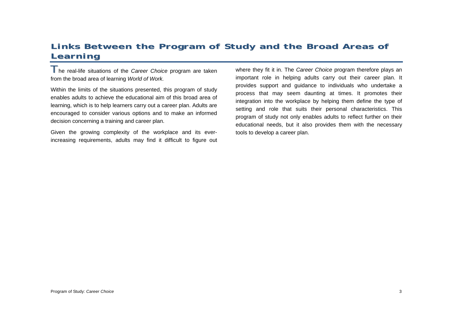# **Links Between the Program of Study and the Broad Areas of Learning**

The real-life situations of the *Career Choice* program are taken from the broad area of learning *World of Work.*

Within the limits of the situations presented, this program of study enables adults to achieve the educational aim of this broad area of learning, which is to help learners carry out a career plan. Adults are encouraged to consider various options and to make an informed decision concerning a training and career plan.

Given the growing complexity of the workplace and its everincreasing requirements, adults may find it difficult to figure out where they fit it in. The *Career Choice* program therefore plays an important role in helping adults carry out their career plan. It provides support and guidance to individuals who undertake a process that may seem daunting at times. It promotes their integration into the workplace by helping them define the type of setting and role that suits their personal characteristics. This program of study not only enables adults to reflect further on their educational needs, but it also provides them with the necessary tools to develop a career plan.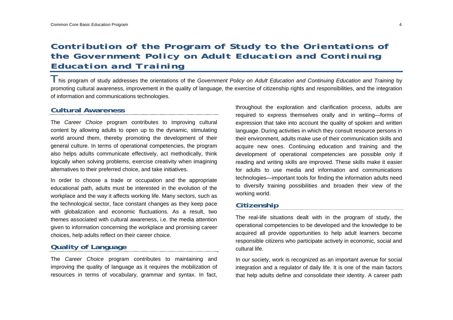## **Contribution of the Program of Study to the Orientations of the** *Government Policy on Adult Education and Continuing Education and Training*

This program of study addresses the orientations of the *Government Policy on Adult Education and Continuing Education and Training* by promoting cultural awareness, improvement in the quality of language, the exercise of citizenship rights and responsibilities, and the integration of information and communications technologies.

## **Cultural Awareness**

The *Career Choice* program contributes to improving cultural content by allowing adults to open up to the dynamic, stimulating world around them, thereby promoting the development of their general culture. In terms of operational competencies, the program also helps adults communicate effectively, act methodically, think logically when solving problems, exercise creativity when imagining alternatives to their preferred choice, and take initiatives.

In order to choose a trade or occupation and the appropriate educational path, adults must be interested in the evolution of the workplace and the way it affects working life. Many sectors, such as the technological sector, face constant changes as they keep pace with globalization and economic fluctuations. As a result, two themes associated with cultural awareness, i.e. the media attention given to information concerning the workplace and promising career choices, help adults reflect on their career choice.

## **Quality of Language**

The *Career Choice* program contributes to maintaining and improving the quality of language as it requires the mobilization of resources in terms of vocabulary, grammar and syntax. In fact, throughout the exploration and clarification process, adults are required to express themselves orally and in writing—forms of expression that take into account the quality of spoken and written language. During activities in which they consult resource persons in their environment, adults make use of their communication skills and acquire new ones. Continuing education and training and the development of operational competencies are possible only if reading and writing skills are improved. These skills make it easier for adults to use media and information and communications technologies—important tools for finding the information adults need to diversify training possibilities and broaden their view of the working world.

## **Citizenship**

The real-life situations dealt with in the program of study, the operational competencies to be developed and the knowledge to be acquired all provide opportunities to help adult learners become responsible citizens who participate actively in economic, social and cultural life.

In our society, work is recognized as an important avenue for social integration and a regulator of daily life. It is one of the main factors that help adults define and consolidate their identity. A career path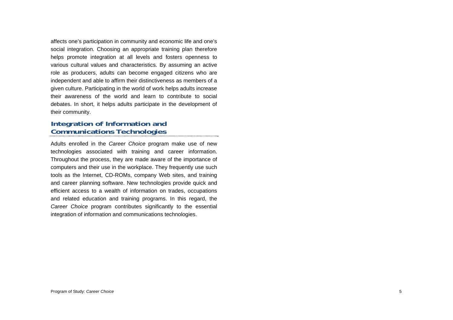affects one's participation in community and economic life and one's social integration. Choosing an appropriate training plan therefore helps promote integration at all levels and fosters openness to various cultural values and characteristics. By assuming an active role as producers, adults can become engaged citizens who are independent and able to affirm their distinctiveness as members of a given culture. Participating in the world of work helps adults increase their awareness of the world and learn to contribute to social debates. In short, it helps adults participate in the development of their community.

## **Integration of Information and Communications Technologies**

Adults enrolled in the *Career Choice* program make use of new technologies associated with training and career information. Throughout the process, they are made aware of the importance of computers and their use in the workplace. They frequently use such tools as the Internet, CD-ROMs, company Web sites, and training and career planning software. New technologies provide quick and efficient access to a wealth of information on trades, occupations and related education and training programs. In this regard, the *Career Choice* program contributes significantly to the essential integration of information and communications technologies.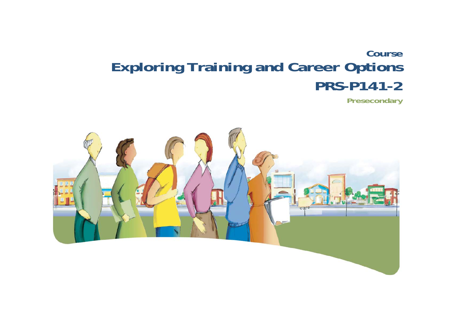# **Course Exploring Training and Career Options PRS-P141-2**

**Presecondary** 

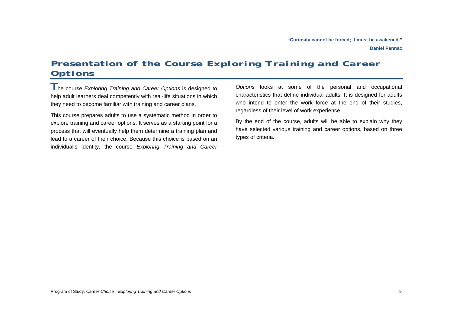**Daniel Pennac** 

# **Presentation of the Course** *Exploring Training and Career Options*

The course *Exploring Training and Career Options* is designed to help adult learners deal competently with real-life situations in which they need to become familiar with training and career plans.

This course prepares adults to use a systematic method in order to explore training and career options. It serves as a starting point for a process that will eventually help them determine a training plan and lead to a career of their choice. Because this choice is based on an individual's identity, the course *Exploring Training and Career* 

*Options* looks at some of the personal and occupational characteristics that define individual adults. It is designed for adults who intend to enter the work force at the end of their studies, regardless of their level of work experience.

By the end of the course, adults will be able to explain why they have selected various training and career options, based on three types of criteria.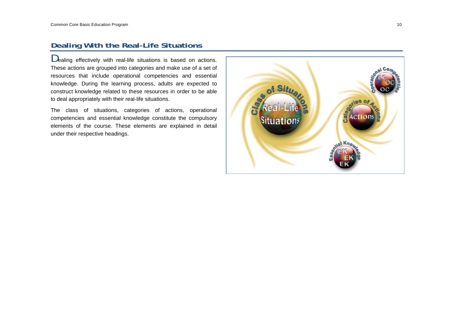## **Dealing With the Real-Life Situations**

Dealing effectively with real-life situations is based on actions. These actions are grouped into categories and make use of a set of resources that include operational competencies and essential knowledge. During the learning process, adults are expected to construct knowledge related to these resources in order to be able to deal appropriately with their real-life situations.

The class of situations, categories of actions, operational competencies and essential knowledge constitute the compulsory elements of the course. These elements are explained in detail under their respective headings.

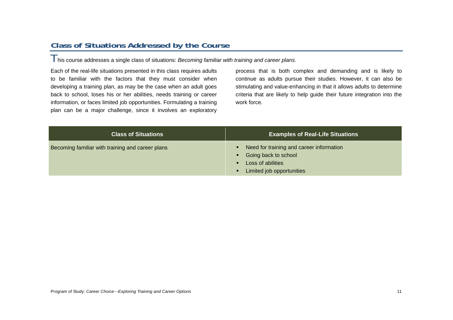## **Class of Situations Addressed by the Course**

This course addresses a single class of situations: *Becoming familiar with training and career plans*.

Each of the real-life situations presented in this class requires adults to be familiar with the factors that they must consider when developing a training plan, as may be the case when an adult goes back to school, loses his or her abilities, needs training or career information, or faces limited job opportunities. Formulating a training plan can be a major challenge, since it involves an exploratory process that is both complex and demanding and is likely to continue as adults pursue their studies. However, it can also be stimulating and value-enhancing in that it allows adults to determine criteria that are likely to help guide their future integration into the work force.

| <b>Class of Situations</b>                       | <b>Examples of Real-Life Situations</b>                                                                            |
|--------------------------------------------------|--------------------------------------------------------------------------------------------------------------------|
| Becoming familiar with training and career plans | Need for training and career information<br>Going back to school<br>Loss of abilities<br>Limited job opportunities |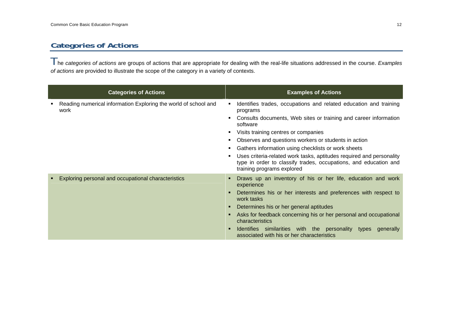## **Categories of Actions**

The *categories of actions* are groups of actions that are appropriate for dealing with the real-life situations addressed in the course. *Examples of actions* are provided to illustrate the scope of the category in a variety of contexts.

| <b>Categories of Actions</b>                                            | <b>Examples of Actions</b>                                                                                                                                                                                                                                                                                                                                                                                                                                                                     |
|-------------------------------------------------------------------------|------------------------------------------------------------------------------------------------------------------------------------------------------------------------------------------------------------------------------------------------------------------------------------------------------------------------------------------------------------------------------------------------------------------------------------------------------------------------------------------------|
| Reading numerical information Exploring the world of school and<br>work | Identifies trades, occupations and related education and training<br>programs<br>Consults documents, Web sites or training and career information<br>software<br>Visits training centres or companies<br>Observes and questions workers or students in action<br>Gathers information using checklists or work sheets<br>Uses criteria-related work tasks, aptitudes required and personality<br>type in order to classify trades, occupations, and education and<br>training programs explored |
| Exploring personal and occupational characteristics                     | Draws up an inventory of his or her life, education and work<br>experience<br>Determines his or her interests and preferences with respect to<br>work tasks<br>Determines his or her general aptitudes<br>Asks for feedback concerning his or her personal and occupational<br>characteristics<br>Identifies similarities with the personality types<br>generally<br>associated with his or her characteristics                                                                                |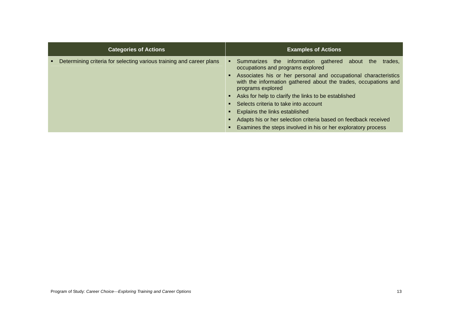| <b>Categories of Actions</b>                                         | <b>Examples of Actions</b>                                                                                                                              |
|----------------------------------------------------------------------|---------------------------------------------------------------------------------------------------------------------------------------------------------|
| Determining criteria for selecting various training and career plans | Summarizes the information gathered about the<br>trades,<br>п.<br>occupations and programs explored                                                     |
|                                                                      | Associates his or her personal and occupational characteristics<br>with the information gathered about the trades, occupations and<br>programs explored |
|                                                                      | Asks for help to clarify the links to be established                                                                                                    |
|                                                                      | Selects criteria to take into account                                                                                                                   |
|                                                                      | Explains the links established                                                                                                                          |
|                                                                      | Adapts his or her selection criteria based on feedback received                                                                                         |
|                                                                      | Examines the steps involved in his or her exploratory process                                                                                           |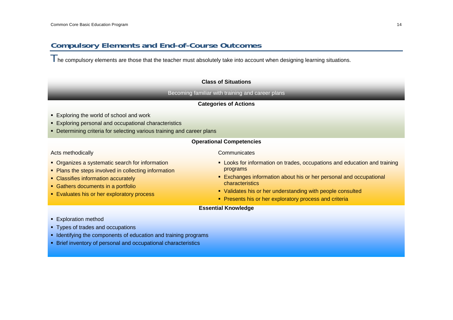## **Compulsory Elements and End-of-Course Outcomes**

The compulsory elements are those that the teacher must absolutely take into account when designing learning situations.

#### **Class of Situations**

Becoming familiar with training and career plans

#### **Categories of Actions**

- **Exploring the world of school and work**
- Exploring personal and occupational characteristics
- **-** Determining criteria for selecting various training and career plans

### **Operational Competencies**

Acts methodically

- Organizes a systematic search for information
- Plans the steps involved in collecting information
- Classifies information accurately
- **Gathers documents in a portfolio**
- **Evaluates his or her exploratory process**

#### **Communicates**

- **-** Looks for information on trades, occupations and education and training programs
- Exchanges information about his or her personal and occupational characteristics
- Validates his or her understanding with people consulted
- **Presents his or her exploratory process and criteria**

## **Essential Knowledge**

- **Exploration method**
- **Types of trades and occupations**
- **IDENTIFY IDENTIFYING THE COMPONENTS OF Education and training programs**
- Brief inventory of personal and occupational characteristics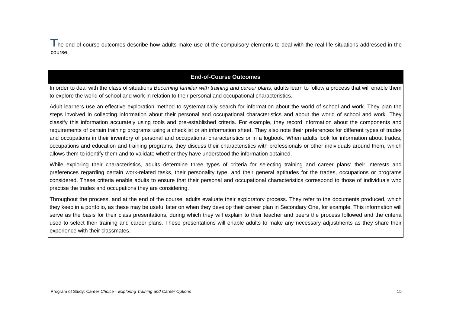I he end-of-course outcomes describe how adults make use of the compulsory elements to deal with the real-life situations addressed in the course.

## **End-of-Course Outcomes**

In order to deal with the class of situations *Becoming familiar with training and career plans*, adults learn to follow a process that will enable them to explore the world of school and work in relation to their personal and occupational characteristics.

Adult learners use an effective exploration method to systematically search for information about the world of school and work. They plan the steps involved in collecting information about their personal and occupational characteristics and about the world of school and work. They classify this information accurately using tools and pre-established criteria. For example, they record information about the components and requirements of certain training programs using a checklist or an information sheet. They also note their preferences for different types of trades and occupations in their inventory of personal and occupational characteristics or in a logbook. When adults look for information about trades, occupations and education and training programs, they discuss their characteristics with professionals or other individuals around them, which allows them to identify them and to validate whether they have understood the information obtained.

While exploring their characteristics, adults determine three types of criteria for selecting training and career plans: their interests and preferences regarding certain work-related tasks, their personality type, and their general aptitudes for the trades, occupations or programs considered. These criteria enable adults to ensure that their personal and occupational characteristics correspond to those of individuals who practise the trades and occupations they are considering.

Throughout the process, and at the end of the course, adults evaluate their exploratory process. They refer to the documents produced, which they keep in a portfolio, as these may be useful later on when they develop their career plan in Secondary One, for example. This information will serve as the basis for their class presentations, during which they will explain to their teacher and peers the process followed and the criteria used to select their training and career plans. These presentations will enable adults to make any necessary adjustments as they share their experience with their classmates.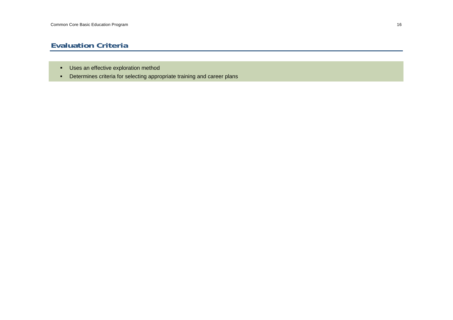## **Evaluation Criteria**

- **Uses an effective exploration method**
- Determines criteria for selecting appropriate training and career plans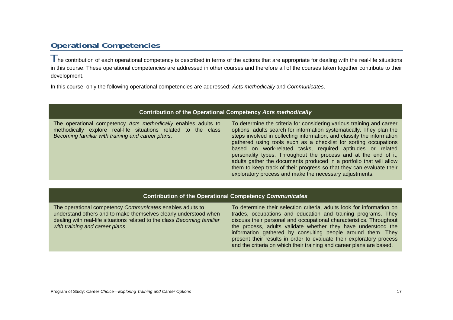## **Operational Competencies**

The contribution of each operational competency is described in terms of the actions that are appropriate for dealing with the real-life situations in this course. These operational competencies are addressed in other courses and therefore all of the courses taken together contribute to their development.

In this course, only the following operational competencies are addressed: *Acts methodically* and *Communicates*.

|  | Contribution of the Operational Competency Acts methodically |
|--|--------------------------------------------------------------|
|--|--------------------------------------------------------------|

The operational competency *Acts methodically* enables adults to methodically explore real-life situations related to the class *Becoming familiar with training and career plans*. To determine the criteria for considering various training and career options, adults search for information systematically. They plan the steps involved in collecting information, and classify the information gathered using tools such as a checklist for sorting occupations based on work-related tasks, required aptitudes or related personality types. Throughout the process and at the end of it, adults gather the documents produced in a portfolio that will allow them to keep track of their progress so that they can evaluate their exploratory process and make the necessary adjustments.

#### **Contribution of the Operational Competency** *Communicates*

The operational competency *Communicates* enables adults to understand others and to make themselves clearly understood when dealing with real-life situations related to the class *Becoming familiar with training and career plans*.

To determine their selection criteria, adults look for information on trades, occupations and education and training programs. They discuss their personal and occupational characteristics. Throughout the process, adults validate whether they have understood the information gathered by consulting people around them. They present their results in order to evaluate their exploratory process and the criteria on which their training and career plans are based.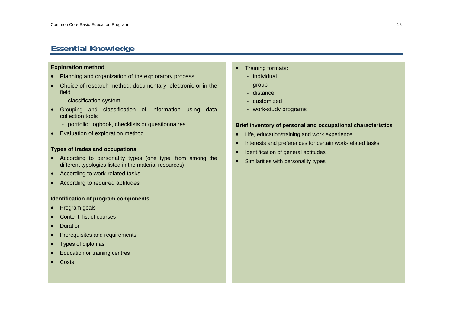## **Essential Knowledge**

## **Exploration method**

- Planning and organization of the exploratory process
- Choice of research method: documentary, electronic or in the field
	- classification system
- • Grouping and classification of information using data collection tools
	- portfolio: logbook, checklists or questionnaires
- Evaluation of exploration method

#### **Types of trades and occupations**

- According to personality types (one type, from among the different typologies listed in the material resources)
- According to work-related tasks
- According to required aptitudes

#### **Identification of program components**

- •Program goals
- •Content, list of courses
- •**Duration**
- •Prerequisites and requirements
- •Types of diplomas
- •Education or training centres
- •**Costs**
- • Training formats:
	- individual
	- group
	- distance
	- customized
	- work-study programs

#### **Brief inventory of personal and occupational characteristics**

- •Life, education/training and work experience
- •Interests and preferences for certain work-related tasks
- •Identification of general aptitudes
- •Similarities with personality types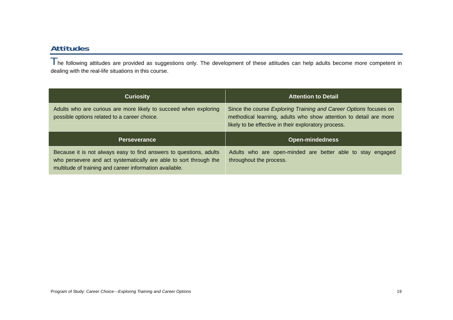## **Attitudes**

The following attitudes are provided as suggestions only. The development of these attitudes can help adults become more competent in dealing with the real-life situations in this course.

| <b>Curiosity</b>                                                                                                 | <b>Attention to Detail</b>                                                                                                                                                                     |
|------------------------------------------------------------------------------------------------------------------|------------------------------------------------------------------------------------------------------------------------------------------------------------------------------------------------|
| Adults who are curious are more likely to succeed when exploring<br>possible options related to a career choice. | Since the course Exploring Training and Career Options focuses on<br>methodical learning, adults who show attention to detail are more<br>likely to be effective in their exploratory process. |
|                                                                                                                  |                                                                                                                                                                                                |
| <b>Perseverance</b>                                                                                              | <b>Open-mindedness</b>                                                                                                                                                                         |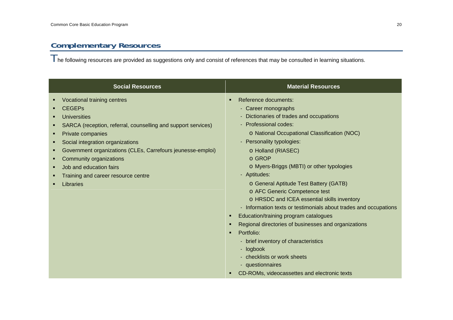# **Complementary Resources**

 $\top$ he following resources are provided as suggestions only and consist of references that may be consulted in learning situations.

| <b>Social Resources</b>                                                                                                                                                                                                                                                                                                                                                          | <b>Material Resources</b>                                                                                                                                                                                                                                                                                                                                                                                                                                                                                                                                                                                                                                                                                                                                                                                                                    |
|----------------------------------------------------------------------------------------------------------------------------------------------------------------------------------------------------------------------------------------------------------------------------------------------------------------------------------------------------------------------------------|----------------------------------------------------------------------------------------------------------------------------------------------------------------------------------------------------------------------------------------------------------------------------------------------------------------------------------------------------------------------------------------------------------------------------------------------------------------------------------------------------------------------------------------------------------------------------------------------------------------------------------------------------------------------------------------------------------------------------------------------------------------------------------------------------------------------------------------------|
| Vocational training centres<br><b>CEGEPs</b><br><b>Universities</b><br>SARCA (reception, referral, counselling and support services)<br>Private companies<br>٠<br>Social integration organizations<br>Government organizations (CLEs, Carrefours jeunesse-emploi)<br>Community organizations<br>٠<br>Job and education fairs<br>Training and career resource centre<br>Libraries | Reference documents:<br>$\blacksquare$<br>- Career monographs<br>- Dictionaries of trades and occupations<br>- Professional codes:<br>o National Occupational Classification (NOC)<br>- Personality typologies:<br>o Holland (RIASEC)<br>o GROP<br>o Myers-Briggs (MBTI) or other typologies<br>- Aptitudes:<br>o General Aptitude Test Battery (GATB)<br>o AFC Generic Competence test<br>o HRSDC and ICEA essential skills inventory<br>- Information texts or testimonials about trades and occupations<br>Education/training program catalogues<br>$\blacksquare$<br>Regional directories of businesses and organizations<br>п<br>Portfolio:<br>$\blacksquare$<br>- brief inventory of characteristics<br>- logbook<br>- checklists or work sheets<br>- questionnaires<br>CD-ROMs, videocassettes and electronic texts<br>$\blacksquare$ |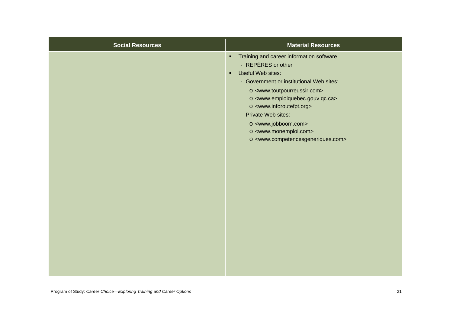| <b>Social Resources</b> | <b>Material Resources</b>                                                                                                                                                                                                                                                                                                                                                                                                                                                                                                                 |
|-------------------------|-------------------------------------------------------------------------------------------------------------------------------------------------------------------------------------------------------------------------------------------------------------------------------------------------------------------------------------------------------------------------------------------------------------------------------------------------------------------------------------------------------------------------------------------|
|                         | Training and career information software<br>$\blacksquare$<br>- REPÈRES or other<br>Useful Web sites:<br>$\blacksquare$<br>- Government or institutional Web sites:<br>o <www.toutpourreussir.com><br/>o <www.emploiquebec.gouv.qc.ca><br/>o <www.inforoutefpt.org><br/>- Private Web sites:<br/>o <www.jobboom.com><br/>o <www.monemploi.com><br/>o <www.competencesgeneriques.com></www.competencesgeneriques.com></www.monemploi.com></www.jobboom.com></www.inforoutefpt.org></www.emploiquebec.gouv.qc.ca></www.toutpourreussir.com> |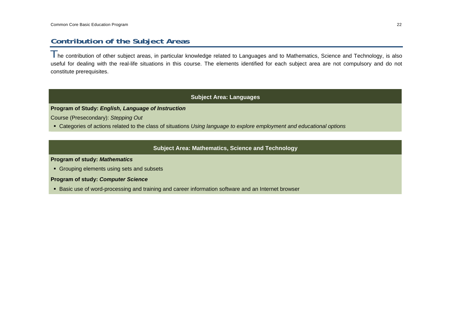## **Contribution of the Subject Areas**

 $T$ he contribution of other subiect areas, in particular knowledge related to Languages and to Mathematics, Science and Technology, is also useful for dealing with the real-life situations in this course. The elements identified for each subject area are not compulsory and do not constitute prerequisites.

## **Subject Area: Languages**

#### **Program of Study:** *English, Language of Instruction*

Course (Presecondary): *Stepping Out*

Categories of actions related to the class of situations *Using language to explore employment and educational options*

## **Subject Area: Mathematics, Science and Technology**

**Program of study:** *Mathematics*

Grouping elements using sets and subsets

**Program of study:** *Computer Science*

Basic use of word-processing and training and career information software and an Internet browser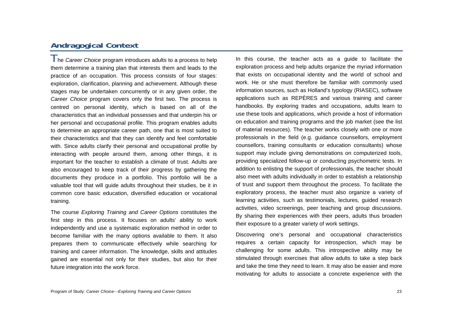## **Andragogical Context**

The *Career Choice* program introduces adults to a process to help them determine a training plan that interests them and leads to the practice of an occupation. This process consists of four stages: exploration, clarification, planning and achievement. Although these stages may be undertaken concurrently or in any given order, the *Career Choice* program covers only the first two. The process is centred on personal identity, which is based on all of the characteristics that an individual possesses and that underpin his or her personal and occupational profile. This program enables adults to determine an appropriate career path, one that is most suited to their characteristics and that they can identify and feel comfortable with. Since adults clarify their personal and occupational profile by interacting with people around them, among other things, it is important for the teacher to establish a climate of trust. Adults are also encouraged to keep track of their progress by gathering the documents they produce in a portfolio. This portfolio will be a valuable tool that will guide adults throughout their studies, be it in common core basic education, diversified education or vocational training.

The course *Exploring Training and Career Options* constitutes the first step in this process. It focuses on adults' ability to work independently and use a systematic exploration method in order to become familiar with the many options available to them. It also prepares them to communicate effectively while searching for training and career information. The knowledge, skills and attitudes gained are essential not only for their studies, but also for their future integration into the work force.

In this course, the teacher acts as a guide to facilitate the exploration process and help adults organize the myriad information that exists on occupational identity and the world of school and work. He or she must therefore be familiar with commonly used information sources, such as Holland's typology (RIASEC), software applications such as REPÈRES and various training and career handbooks. By exploring trades and occupations, adults learn to use these tools and applications, which provide a host of information on education and training programs and the job market (see the list of material resources). The teacher works closely with one or more professionals in the field (e.g. guidance counsellors, employment counsellors, training consultants or education consultants) whose support may include giving demonstrations on computerized tools, providing specialized follow-up or conducting psychometric tests. In addition to enlisting the support of professionals, the teacher should also meet with adults individually in order to establish a relationship of trust and support them throughout the process. To facilitate the exploratory process, the teacher must also organize a variety of learning activities, such as testimonials, lectures, guided research activities, video screenings, peer teaching and group discussions. By sharing their experiences with their peers, adults thus broaden their exposure to a greater variety of work settings.

Discovering one's personal and occupational characteristics requires a certain capacity for introspection, which may be challenging for some adults. This introspective ability may be stimulated through exercises that allow adults to take a step back and take the time they need to learn. It may also be easier and more motivating for adults to associate a concrete experience with the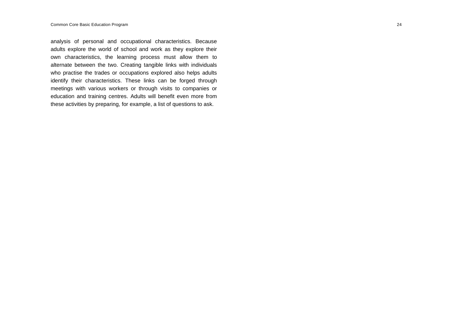analysis of personal and occupational characteristics. Because adults explore the world of school and work as they explore their own characteristics, the learning process must allow them to alternate between the two. Creating tangible links with individuals who practise the trades or occupations explored also helps adults identify their characteristics. These links can be forged through meetings with various workers or through visits to companies or education and training centres. Adults will benefit even more from these activities by preparing, for example, a list of questions to ask.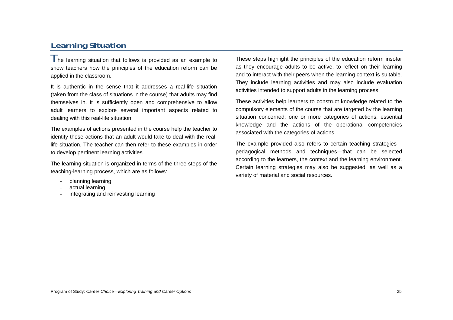## **Learning Situation**

 $\parallel$  he learning situation that follows is provided as an example to show teachers how the principles of the education reform can be applied in the classroom.

It is authentic in the sense that it addresses a real-life situation (taken from the class of situations in the course) that adults may find themselves in. It is sufficiently open and comprehensive to allow adult learners to explore several important aspects related to dealing with this real-life situation.

The examples of actions presented in the course help the teacher to identify those actions that an adult would take to deal with the reallife situation. The teacher can then refer to these examples in order to develop pertinent learning activities.

The learning situation is organized in terms of the three steps of the teaching-learning process, which are as follows:

- planning learning
- actual learning
- integrating and reinvesting learning

These steps highlight the principles of the education reform insofar as they encourage adults to be active, to reflect on their learning and to interact with their peers when the learning context is suitable. They include learning activities and may also include evaluation activities intended to support adults in the learning process.

These activities help learners to construct knowledge related to the compulsory elements of the course that are targeted by the learning situation concerned: one or more categories of actions, essential knowledge and the actions of the operational competencies associated with the categories of actions.

The example provided also refers to certain teaching strategies pedagogical methods and techniques—that can be selected according to the learners, the context and the learning environment. Certain learning strategies may also be suggested, as well as a variety of material and social resources.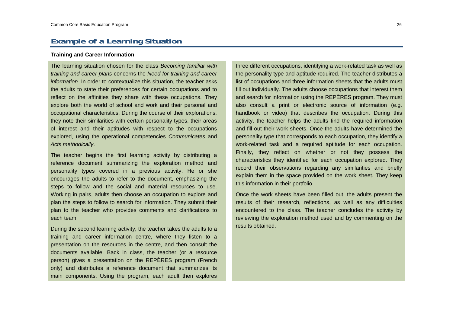## **Example of a Learning Situation**

#### **Training and Career Information**

The learning situation chosen for the class *Becoming familiar with training and career plans* concerns the *Need for training and career information*. In order to contextualize this situation, the teacher asks the adults to state their preferences for certain occupations and to reflect on the affinities they share with these occupations. They explore both the world of school and work and their personal and occupational characteristics. During the course of their explorations, they note their similarities with certain personality types, their areas of interest and their aptitudes with respect to the occupations explored, using the operational competencies *Communicates* and *Acts methodically*.

The teacher begins the first learning activity by distributing a reference document summarizing the exploration method and personality types covered in a previous activity. He or she encourages the adults to refer to the document, emphasizing the steps to follow and the social and material resources to use. Working in pairs, adults then choose an occupation to explore and plan the steps to follow to search for information. They submit their plan to the teacher who provides comments and clarifications to each team.

During the second learning activity, the teacher takes the adults to a training and career information centre, where they listen to a presentation on the resources in the centre, and then consult the documents available. Back in class, the teacher (or a resource person) gives a presentation on the REPÈRES program (French only) and distributes a reference document that summarizes its main components. Using the program, each adult then explores

three different occupations, identifying a work-related task as well as the personality type and aptitude required. The teacher distributes a list of occupations and three information sheets that the adults must fill out individually. The adults choose occupations that interest them and search for information using the REPÈRES program. They must also consult a print or electronic source of information (e.g. handbook or video) that describes the occupation. During this activity, the teacher helps the adults find the required information and fill out their work sheets. Once the adults have determined the personality type that corresponds to each occupation, they identify a work-related task and a required aptitude for each occupation. Finally, they reflect on whether or not they possess the characteristics they identified for each occupation explored. They record their observations regarding any similarities and briefly explain them in the space provided on the work sheet. They keep this information in their portfolio.

Once the work sheets have been filled out, the adults present the results of their research, reflections, as well as any difficulties encountered to the class. The teacher concludes the activity by reviewing the exploration method used and by commenting on the results obtained.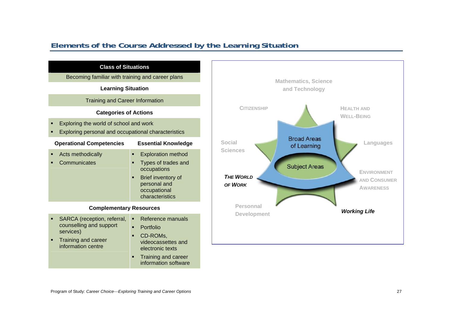## **Elements of the Course Addressed by the Learning Situation**

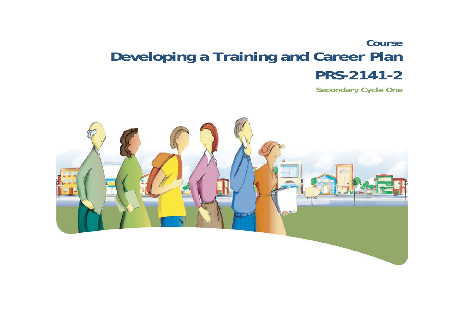# **Course Developing a Training and Career Plan PRS-2141-2**

**Secondary Cycle One** 

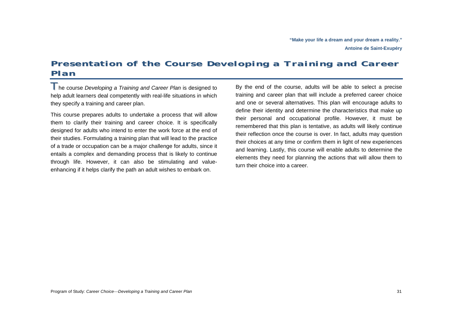# **Presentation of the Course** *Developing <sup>a</sup> Training and Career Plan*

The course *Developing a Training and Career Plan* is designed to help adult learners deal competently with real-life situations in which they specify a training and career plan.

This course prepares adults to undertake a process that will allow them to clarify their training and career choice. It is specifically designed for adults who intend to enter the work force at the end of their studies. Formulating a training plan that will lead to the practice of a trade or occupation can be a major challenge for adults, since it entails a complex and demanding process that is likely to continue through life. However, it can also be stimulating and valueenhancing if it helps clarify the path an adult wishes to embark on.

By the end of the course, adults will be able to select a precise training and career plan that will include a preferred career choice and one or several alternatives. This plan will encourage adults to define their identity and determine the characteristics that make up their personal and occupational profile. However, it must be remembered that this plan is tentative, as adults will likely continue their reflection once the course is over. In fact, adults may question their choices at any time or confirm them in light of new experiences and learning. Lastly, this course will enable adults to determine the elements they need for planning the actions that will allow them to turn their choice into a career.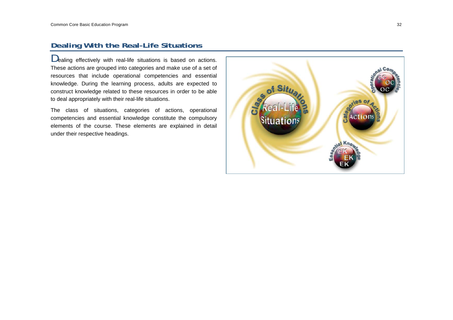## **Dealing With the Real-Life Situations**

Dealing effectively with real-life situations is based on actions. These actions are grouped into categories and make use of a set of resources that include operational competencies and essential knowledge. During the learning process, adults are expected to construct knowledge related to these resources in order to be able to deal appropriately with their real-life situations.

The class of situations, categories of actions, operational competencies and essential knowledge constitute the compulsory elements of the course. These elements are explained in detail under their respective headings.

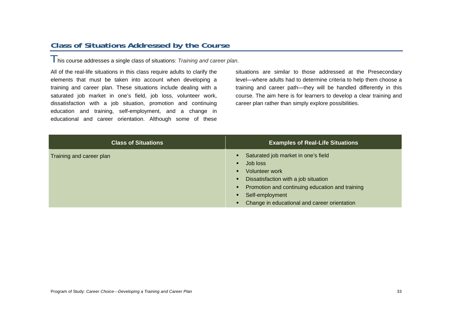## **Class of Situations Addressed by the Course**

This course addresses a single class of situations: *Training and career plan*.

All of the real-life situations in this class require adults to clarify the elements that must be taken into account when developing a training and career plan. These situations include dealing with a saturated job market in one's field, job loss, volunteer work, dissatisfaction with a job situation, promotion and continuing education and training, self-employment, and a change in educational and career orientation. Although some of these situations are similar to those addressed at the Presecondary level—where adults had to determine criteria to help them choose a training and career path—they will be handled differently in this course. The aim here is for learners to develop a clear training and career plan rather than simply explore possibilities.

| <b>Class of Situations</b> | <b>Examples of Real-Life Situations</b>                                                                                                                                                                                                                                           |
|----------------------------|-----------------------------------------------------------------------------------------------------------------------------------------------------------------------------------------------------------------------------------------------------------------------------------|
| Training and career plan   | Saturated job market in one's field<br>Job loss<br>$\blacksquare$<br><b>Volunteer work</b><br>п<br>Dissatisfaction with a job situation<br>٠<br>Promotion and continuing education and training<br>٠<br>Self-employment<br>п<br>Change in educational and career orientation<br>п |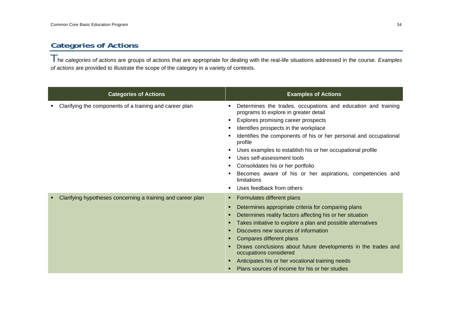## **Categories of Actions**

The *categories of actions* are groups of actions that are appropriate for dealing with the real-life situations addressed in the course. *Examples of actions* are provided to illustrate the scope of the category in a variety of contexts.

| <b>Categories of Actions</b>                                | <b>Examples of Actions</b>                                                                                                                                                                                                                                                                                                                                                                                                                                                                                       |
|-------------------------------------------------------------|------------------------------------------------------------------------------------------------------------------------------------------------------------------------------------------------------------------------------------------------------------------------------------------------------------------------------------------------------------------------------------------------------------------------------------------------------------------------------------------------------------------|
| Clarifying the components of a training and career plan     | Determines the trades, occupations and education and training<br>programs to explore in greater detail<br>Explores promising career prospects<br>Identifies prospects in the workplace<br>Identifies the components of his or her personal and occupational<br>profile<br>Uses examples to establish his or her occupational profile<br>Uses self-assessment tools<br>Consolidates his or her portfolio<br>Becomes aware of his or her aspirations, competencies and<br>limitations<br>Uses feedback from others |
| Clarifying hypotheses concerning a training and career plan | Formulates different plans<br>٠<br>Determines appropriate criteria for comparing plans<br>Determines reality factors affecting his or her situation<br>Takes initiative to explore a plan and possible alternatives<br>Discovers new sources of information<br>Compares different plans<br>Draws conclusions about future developments in the trades and<br>occupations considered<br>Anticipates his or her vocational training needs<br>Plans sources of income for his or her studies                         |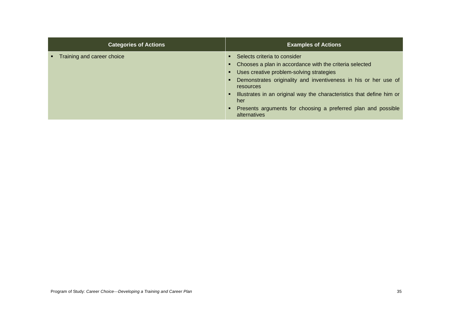| <b>Categories of Actions</b> | <b>Examples of Actions</b>                                                                                                                                                                                                                                                                            |
|------------------------------|-------------------------------------------------------------------------------------------------------------------------------------------------------------------------------------------------------------------------------------------------------------------------------------------------------|
| Training and career choice   | • Selects criteria to consider<br>Chooses a plan in accordance with the criteria selected<br>Uses creative problem-solving strategies<br>Demonstrates originality and inventiveness in his or her use of<br>resources<br>Illustrates in an original way the characteristics that define him or<br>her |
|                              | Presents arguments for choosing a preferred plan and possible<br>alternatives                                                                                                                                                                                                                         |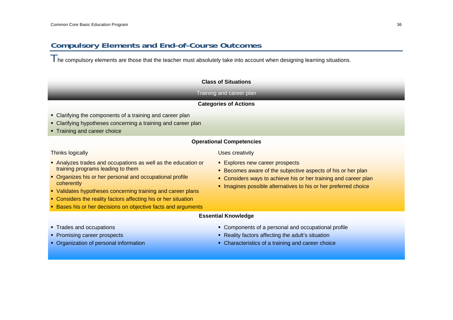## **Compulsory Elements and End-of-Course Outcomes**

The compulsory elements are those that the teacher must absolutely take into account when designing learning situations.

#### **Class of Situations**

#### Training and career plan

#### **Categories of Actions**

- Clarifying the components of a training and career plan
- Clarifying hypotheses concerning a training and career plan
- Training and career choice

### **Operational Competencies**

#### Thinks logically

- Analyzes trades and occupations as well as the education or training programs leading to them
- Organizes his or her personal and occupational profile coherently
- Validates hypotheses concerning training and career plans
- **Considers the reality factors affecting his or her situation**
- **Bases his or her decisions on objective facts and arguments**

## Uses creativity

- **Explores new career prospects**
- **Becomes aware of the subjective aspects of his or her plan**
- **Considers ways to achieve his or her training and career plan**
- **Imagines possible alternatives to his or her preferred choice**
- **Essential Knowledge**

- **Trades and occupations**
- **Promising career prospects**
- Organization of personal information
- **EX Components of a personal and occupational profile**
- **Reality factors affecting the adult's situation**
- Characteristics of a training and career choice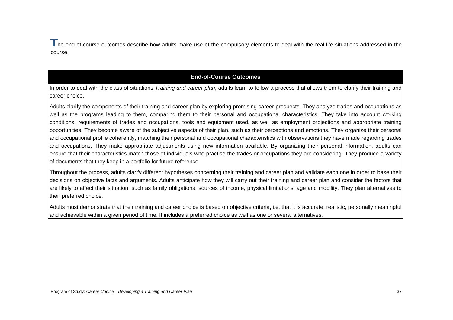I he end-of-course outcomes describe how adults make use of the compulsory elements to deal with the real-life situations addressed in the course.

## **End-of-Course Outcomes**

In order to deal with the class of situations *Training and career plan*, adults learn to follow a process that allows them to clarify their training and career choice.

Adults clarify the components of their training and career plan by exploring promising career prospects. They analyze trades and occupations as well as the programs leading to them, comparing them to their personal and occupational characteristics. They take into account working conditions, requirements of trades and occupations, tools and equipment used, as well as employment projections and appropriate training opportunities. They become aware of the subjective aspects of their plan, such as their perceptions and emotions. They organize their personal and occupational profile coherently, matching their personal and occupational characteristics with observations they have made regarding trades and occupations. They make appropriate adjustments using new information available. By organizing their personal information, adults can ensure that their characteristics match those of individuals who practise the trades or occupations they are considering. They produce a variety of documents that they keep in a portfolio for future reference.

Throughout the process, adults clarify different hypotheses concerning their training and career plan and validate each one in order to base their decisions on objective facts and arguments. Adults anticipate how they will carry out their training and career plan and consider the factors that are likely to affect their situation, such as family obligations, sources of income, physical limitations, age and mobility. They plan alternatives to their preferred choice.

Adults must demonstrate that their training and career choice is based on objective criteria, i.e. that it is accurate, realistic, personally meaningful and achievable within a given period of time. It includes a preferred choice as well as one or several alternatives.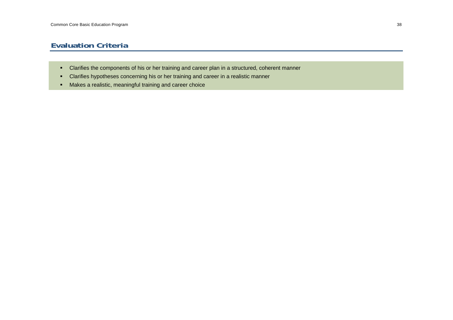## **Evaluation Criteria**

- Clarifies the components of his or her training and career plan in a structured, coherent manner
- Clarifies hypotheses concerning his or her training and career in a realistic manner
- Makes a realistic, meaningful training and career choice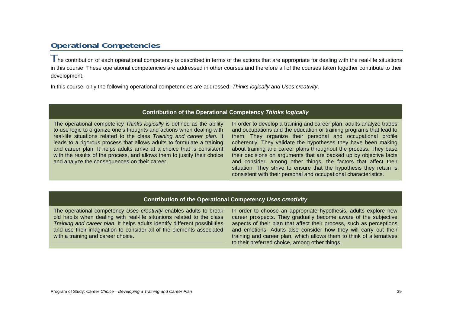## **Operational Competencies**

I he contribution of each operational competency is described in terms of the actions that are appropriate for dealing with the real-life situations in this course. These operational competencies are addressed in other courses and therefore all of the courses taken together contribute to their development.

In this course, only the following operational competencies are addressed: *Thinks logically and Uses creativity*.

#### **Contribution of the Operational Competency** *Thinks logically*

The operational competency *Thinks logically* is defined as the ability to use logic to organize one's thoughts and actions when dealing with real-life situations related to the class *Training and career plan*. It leads to a rigorous process that allows adults to formulate a training and career plan. It helps adults arrive at a choice that is consistent with the results of the process, and allows them to justify their choice and analyze the consequences on their career.

In order to develop a training and career plan, adults analyze trades and occupations and the education or training programs that lead to them. They organize their personal and occupational profile coherently. They validate the hypotheses they have been making about training and career plans throughout the process. They base their decisions on arguments that are backed up by objective facts and consider, among other things, the factors that affect their situation. They strive to ensure that the hypothesis they retain is consistent with their personal and occupational characteristics.

## **Contribution of the Operational Competency** *Uses creativity*

The operational competency *Uses creativity* enables adults to break old habits when dealing with real-life situations related to the class *Training and career plan.* It helps adults identify different possibilities and use their imagination to consider all of the elements associated with a training and career choice.

In order to choose an appropriate hypothesis, adults explore new career prospects. They gradually become aware of the subjective aspects of their plan that affect their process, such as perceptions and emotions. Adults also consider how they will carry out their training and career plan, which allows them to think of alternatives to their preferred choice, among other things.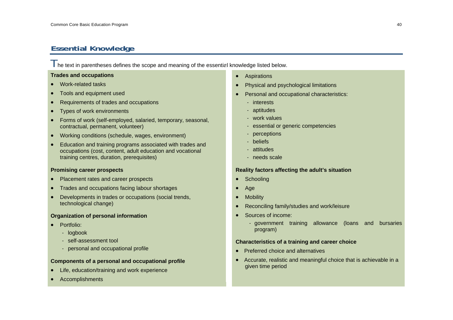## **Essential Knowledge**

 $\parallel$  he text in parentheses defines the scope and meaning of the essential knowledge listed below.

#### **Trades and occupations**

- •Work-related tasks
- •Tools and equipment used
- •Requirements of trades and occupations
- •Types of work environments
- • Forms of work (self-employed, salaried, temporary, seasonal, contractual, permanent, volunteer)
- •Working conditions (schedule, wages, environment)
- • Education and training programs associated with trades and occupations (cost, content, adult education and vocational training centres, duration, prerequisites)

### **Promising career prospects**

- •Placement rates and career prospects
- •Trades and occupations facing labour shortages
- • Developments in trades or occupations (social trends, technological change)

### **Organization of personal information**

- Portfolio:
	- logbook
	- self-assessment tool
	- personal and occupational profile

## **Components of a personal and occupational profile**

- •Life, education/training and work experience
- •Accomplishments
- Aspirations
- •Physical and psychological limitations
- • Personal and occupational characteristics:
	- interests
	- aptitudes
	- work values
	- essential or generic competencies
	- perceptions
	- beliefs
	- attitudes
	- needs scale

### **Reality factors affecting the adult's situation**

- •**Schooling**
- •Age
- •**Mobility**
- •Reconciling family/studies and work/leisure
- • Sources of income:
	- government training allowance (loans and bursaries program)

#### **Characteristics of a training and career choice**

- Preferred choice and alternatives
- Accurate, realistic and meaningful choice that is achievable in a given time period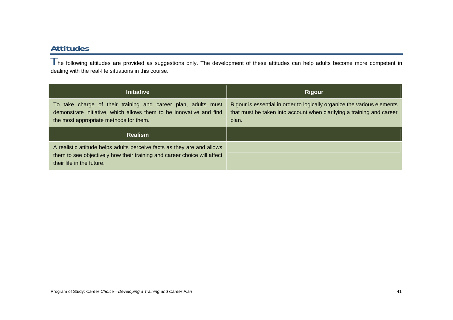## **Attitudes**

The following attitudes are provided as suggestions only. The development of these attitudes can help adults become more competent in dealing with the real-life situations in this course.

| <b>Initiative</b>                                                                                                                                                              | <b>Rigour</b>                                                                                                                                             |  |
|--------------------------------------------------------------------------------------------------------------------------------------------------------------------------------|-----------------------------------------------------------------------------------------------------------------------------------------------------------|--|
| To take charge of their training and career plan, adults must<br>demonstrate initiative, which allows them to be innovative and find<br>the most appropriate methods for them. | Rigour is essential in order to logically organize the various elements<br>that must be taken into account when clarifying a training and career<br>plan. |  |
| <b>Realism</b>                                                                                                                                                                 |                                                                                                                                                           |  |
|                                                                                                                                                                                |                                                                                                                                                           |  |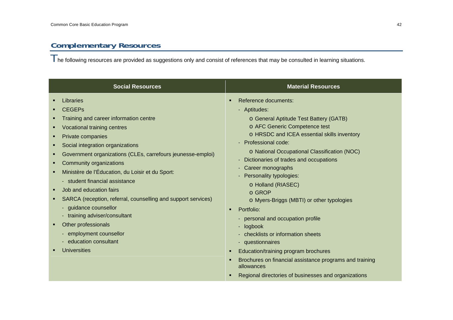# **Complementary Resources**

 $\top$ he following resources are provided as suggestions only and consist of references that may be consulted in learning situations.

|                                                                                                                                                                                                                                                                                                   | <b>Social Resources</b>                                                                                                                                                                                                                                                                          | <b>Material Resources</b>                                                                                                                                                                                                                                                                                                                                                                                                                                                                                                                                                                                                                                                                                                    |  |
|---------------------------------------------------------------------------------------------------------------------------------------------------------------------------------------------------------------------------------------------------------------------------------------------------|--------------------------------------------------------------------------------------------------------------------------------------------------------------------------------------------------------------------------------------------------------------------------------------------------|------------------------------------------------------------------------------------------------------------------------------------------------------------------------------------------------------------------------------------------------------------------------------------------------------------------------------------------------------------------------------------------------------------------------------------------------------------------------------------------------------------------------------------------------------------------------------------------------------------------------------------------------------------------------------------------------------------------------------|--|
| Libraries<br><b>CEGEPs</b><br>Vocational training centres<br>Private companies<br>Community organizations<br>Job and education fairs<br>- guidance counsellor<br>- training adviser/consultant<br>Other professionals<br>- employment counsellor<br>- education consultant<br><b>Universities</b> | Training and career information centre<br>Social integration organizations<br>Government organizations (CLEs, carrefours jeunesse-emploi)<br>Ministère de l'Éducation, du Loisir et du Sport:<br>- student financial assistance<br>SARCA (reception, referral, counselling and support services) | Reference documents:<br>л<br>- Aptitudes:<br>o General Aptitude Test Battery (GATB)<br>o AFC Generic Competence test<br>o HRSDC and ICEA essential skills inventory<br>Professional code:<br>o National Occupational Classification (NOC)<br>Dictionaries of trades and occupations<br>Career monographs<br>Personality typologies:<br>o Holland (RIASEC)<br>o GROP<br>o Myers-Briggs (MBTI) or other typologies<br>Portfolio:<br>л<br>personal and occupation profile<br>logbook<br>checklists or information sheets<br>- questionnaires<br>Education/training program brochures<br>л<br>Brochures on financial assistance programs and training<br>allowances<br>Regional directories of businesses and organizations<br>л |  |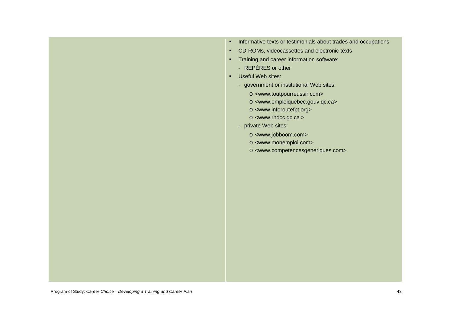- **Informative texts or testimonials about trades and occupations**
- CD-ROMs, videocassettes and electronic texts
- **Training and career information software:** 
	- REPÈRES or other
- Useful Web sites:
	- government or institutional Web sites:
		- o <www.toutpourreussir.com>
		- o <www.emploiquebec.gouv.qc.ca>
		- o <www.inforoutefpt.org>
		- o <www.rhdcc.gc.ca.>
	- private Web sites:
		- o <www.jobboom.com>
		- o <www.monemploi.com>
		- o <www.competencesgeneriques.com>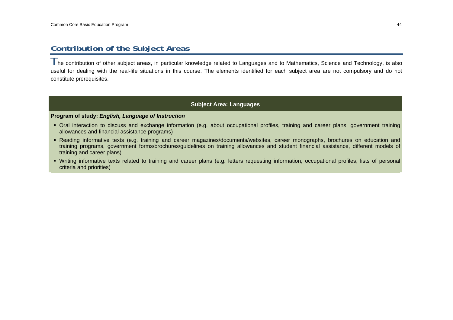## **Contribution of the Subject Areas**

The contribution of other subject areas, in particular knowledge related to Languages and to Mathematics, Science and Technology, is also useful for dealing with the real-life situations in this course. The elements identified for each subject area are not compulsory and do not constitute prerequisites.

## **Subject Area: Languages**

#### **Program of study:** *English, Language of Instruction*

- Oral interaction to discuss and exchange information (e.g. about occupational profiles, training and career plans, government training allowances and financial assistance programs)
- Reading informative texts (e.g. training and career magazines/documents/websites, career monographs, brochures on education and training programs, government forms/brochures/guidelines on training allowances and student financial assistance, different models of training and career plans)
- Writing informative texts related to training and career plans (e.g. letters requesting information, occupational profiles, lists of personal criteria and priorities)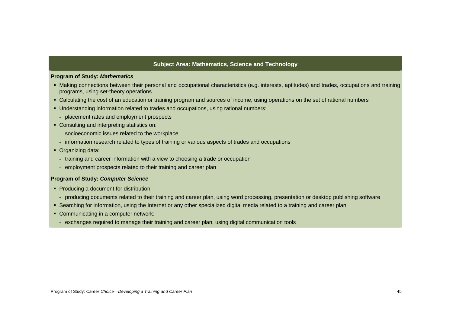### **Subject Area: Mathematics, Science and Technology**

#### **Program of Study:** *Mathematics*

- Making connections between their personal and occupational characteristics (e.g. interests, aptitudes) and trades, occupations and training programs, using set-theory operations
- Calculating the cost of an education or training program and sources of income, using operations on the set of rational numbers
- Understanding information related to trades and occupations, using rational numbers:
- placement rates and employment prospects
- Consulting and interpreting statistics on:
	- socioeconomic issues related to the workplace
	- information research related to types of training or various aspects of trades and occupations
- Organizing data:
	- training and career information with a view to choosing a trade or occupation
	- employment prospects related to their training and career plan

#### **Program of Study:** *Computer Science*

- **Producing a document for distribution:** 
	- producing documents related to their training and career plan, using word processing, presentation or desktop publishing software
- Searching for information, using the Internet or any other specialized digital media related to a training and career plan
- Communicating in a computer network:
- exchanges required to manage their training and career plan, using digital communication tools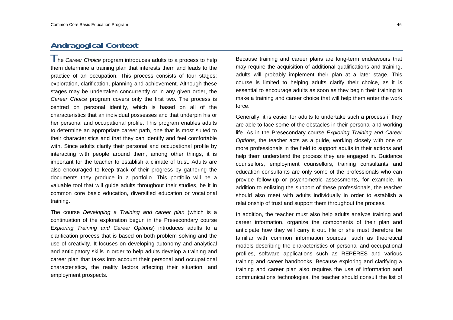## **Andragogical Context**

The *Career Choice* program introduces adults to a process to help them determine a training plan that interests them and leads to the practice of an occupation. This process consists of four stages: exploration, clarification, planning and achievement. Although these stages may be undertaken concurrently or in any given order, the *Career Choice* program covers only the first two. The process is centred on personal identity, which is based on all of the characteristics that an individual possesses and that underpin his or her personal and occupational profile. This program enables adults to determine an appropriate career path, one that is most suited to their characteristics and that they can identify and feel comfortable with. Since adults clarify their personal and occupational profile by interacting with people around them, among other things, it is important for the teacher to establish a climate of trust. Adults are also encouraged to keep track of their progress by gathering the documents they produce in a portfolio. This portfolio will be a valuable tool that will guide adults throughout their studies, be it in common core basic education, diversified education or vocational training.

The course *Developing a Training and career plan* (which is a continuation of the exploration begun in the Presecondary course *Exploring Training and Career Options*) introduces adults to a clarification process that is based on both problem solving and the use of creativity. It focuses on developing autonomy and analytical and anticipatory skills in order to help adults develop a training and career plan that takes into account their personal and occupational characteristics, the reality factors affecting their situation, and employment prospects.

Because training and career plans are long-term endeavours that may require the acquisition of additional qualifications and training, adults will probably implement their plan at a later stage. This course is limited to helping adults clarify their choice, as it is essential to encourage adults as soon as they begin their training to make a training and career choice that will help them enter the work force.

Generally, it is easier for adults to undertake such a process if they are able to face some of the obstacles in their personal and working life. As in the Presecondary course *Exploring Training and Career Options*, the teacher acts as a guide, working closely with one or more professionals in the field to support adults in their actions and help them understand the process they are engaged in. Guidance counsellors, employment counsellors, training consultants and education consultants are only some of the professionals who can provide follow-up or psychometric assessments, for example. In addition to enlisting the support of these professionals, the teacher should also meet with adults individually in order to establish a relationship of trust and support them throughout the process.

In addition, the teacher must also help adults analyze training and career information, organize the components of their plan and anticipate how they will carry it out. He or she must therefore be familiar with common information sources, such as theoretical models describing the characteristics of personal and occupational profiles, software applications such as REPÈRES and various training and career handbooks. Because exploring and clarifying a training and career plan also requires the use of information and communications technologies, the teacher should consult the list of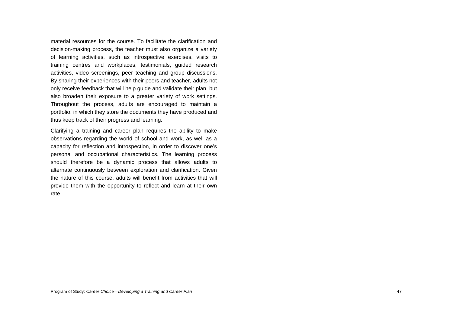material resources for the course. To facilitate the clarification and decision-making process, the teacher must also organize a variety of learning activities, such as introspective exercises, visits to training centres and workplaces, testimonials, guided research activities, video screenings, peer teaching and group discussions. By sharing their experiences with their peers and teacher, adults not only receive feedback that will help guide and validate their plan, but also broaden their exposure to a greater variety of work settings. Throughout the process, adults are encouraged to maintain a portfolio, in which they store the documents they have produced and thus keep track of their progress and learning.

Clarifying a training and career plan requires the ability to make observations regarding the world of school and work, as well as a capacity for reflection and introspection, in order to discover one's personal and occupational characteristics. The learning process should therefore be a dynamic process that allows adults to alternate continuously between exploration and clarification. Given the nature of this course, adults will benefit from activities that will provide them with the opportunity to reflect and learn at their own rate.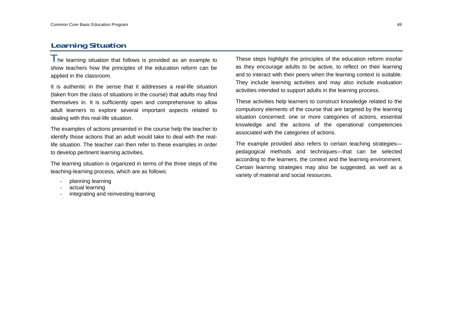## **Learning Situation**

 $\parallel$  he learning situation that follows is provided as an example to show teachers how the principles of the education reform can be applied in the classroom.

It is authentic in the sense that it addresses a real-life situation (taken from the class of situations in the course) that adults may find themselves in. It is sufficiently open and comprehensive to allow adult learners to explore several important aspects related to dealing with this real-life situation.

The examples of actions presented in the course help the teacher to identify those actions that an adult would take to deal with the reallife situation. The teacher can then refer to these examples in order to develop pertinent learning activities.

The learning situation is organized in terms of the three steps of the teaching-learning process, which are as follows:

- planning learning
- actual learning
- integrating and reinvesting learning

These steps highlight the principles of the education reform insofar as they encourage adults to be active, to reflect on their learning and to interact with their peers when the learning context is suitable. They include learning activities and may also include evaluation activities intended to support adults in the learning process.

These activities help learners to construct knowledge related to the compulsory elements of the course that are targeted by the learning situation concerned: one or more categories of actions, essential knowledge and the actions of the operational competencies associated with the categories of actions.

The example provided also refers to certain teaching strategies pedagogical methods and techniques—that can be selected according to the learners, the context and the learning environment. Certain learning strategies may also be suggested, as well as a variety of material and social resources.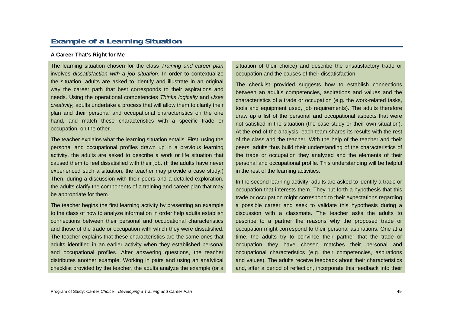## **Example of a Learning Situation**

#### **A Career That's Right for Me**

The learning situation chosen for the class *Training and career plan* involves *dissatisfaction with a job situation*. In order to contextualize the situation, adults are asked to identify and illustrate in an original way the career path that best corresponds to their aspirations and needs. Using the operational competencies *Thinks logically* and *Uses creativity,* adults undertake a process that will allow them to clarify their plan and their personal and occupational characteristics on the one hand, and match these characteristics with a specific trade or occupation, on the other.

The teacher explains what the learning situation entails. First, using the personal and occupational profiles drawn up in a previous learning activity, the adults are asked to describe a work or life situation that caused them to feel dissatisfied with their job. (If the adults have never experienced such a situation, the teacher may provide a case study.) Then, during a discussion with their peers and a detailed exploration, the adults clarify the components of a training and career plan that may be appropriate for them.

The teacher begins the first learning activity by presenting an example to the class of how to analyze information in order help adults establish connections between their personal and occupational characteristics and those of the trade or occupation with which they were dissatisfied. The teacher explains that these characteristics are the same ones that adults identified in an earlier activity when they established personal and occupational profiles. After answering questions, the teacher distributes another example. Working in pairs and using an analytical checklist provided by the teacher, the adults analyze the example (or a

situation of their choice) and describe the unsatisfactory trade or occupation and the causes of their dissatisfaction.

The checklist provided suggests how to establish connections between an adult's competencies, aspirations and values and the characteristics of a trade or occupation (e.g. the work-related tasks, tools and equipment used, job requirements). The adults therefore draw up a list of the personal and occupational aspects that were not satisfied in the situation (the case study or their own situation). At the end of the analysis, each team shares its results with the rest of the class and the teacher. With the help of the teacher and their peers, adults thus build their understanding of the characteristics of the trade or occupation they analyzed and the elements of their personal and occupational profile. This understanding will be helpful in the rest of the learning activities.

In the second learning activity, adults are asked to identify a trade or occupation that interests them. They put forth a hypothesis that this trade or occupation might correspond to their expectations regarding a possible career and seek to validate this hypothesis during a discussion with a classmate. The teacher asks the adults to describe to a partner the reasons why the proposed trade or occupation might correspond to their personal aspirations. One at a time, the adults try to convince their partner that the trade or occupation they have chosen matches their personal and occupational characteristics (e.g. their competencies, aspirations and values). The adults receive feedback about their characteristics and, after a period of reflection, incorporate this feedback into their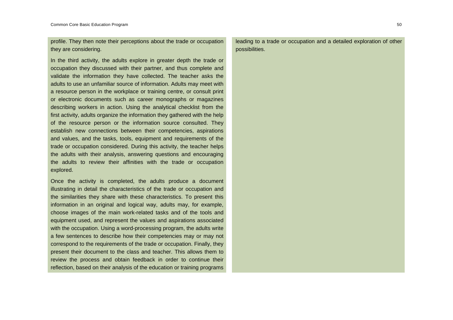profile. They then note their perceptions about the trade or occupation they are considering.

In the third activity, the adults explore in greater depth the trade or occupation they discussed with their partner, and thus complete and validate the information they have collected. The teacher asks the adults to use an unfamiliar source of information. Adults may meet with a resource person in the workplace or training centre, or consult print or electronic documents such as career monographs or magazines describing workers in action. Using the analytical checklist from the first activity, adults organize the information they gathered with the help of the resource person or the information source consulted. They establish new connections between their competencies, aspirations and values, and the tasks, tools, equipment and requirements of the trade or occupation considered. During this activity, the teacher helps the adults with their analysis, answering questions and encouraging the adults to review their affinities with the trade or occupation explored.

Once the activity is completed, the adults produce a document illustrating in detail the characteristics of the trade or occupation and the similarities they share with these characteristics. To present this information in an original and logical way, adults may, for example, choose images of the main work-related tasks and of the tools and equipment used, and represent the values and aspirations associated with the occupation. Using a word-processing program, the adults write a few sentences to describe how their competencies may or may not correspond to the requirements of the trade or occupation. Finally, they present their document to the class and teacher. This allows them to review the process and obtain feedback in order to continue their reflection, based on their analysis of the education or training programs

leading to a trade or occupation and a detailed exploration of other possibilities.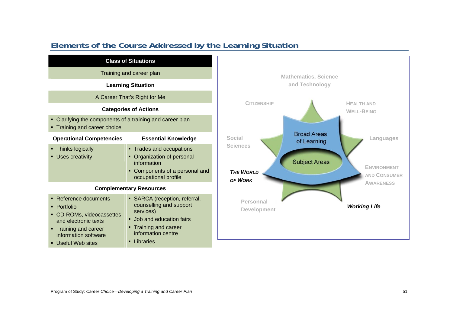

## **Elements of the Course Addressed by the Learning Situation**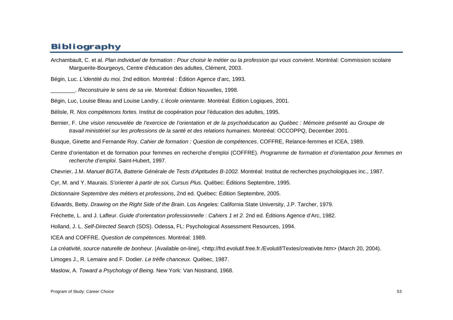# **Bibliography**

Archambault, C. et al. *Plan individuel de formation* : *Pour choisir le métier ou la profession qui vous convient*. Montréal: Commission scolaire Marguerite-Bourgeoys, Centre d'éducation des adultes, Clément, 2003.

Bégin, Luc. *L'identité du moi,* 2nd edition. Montréal : Édition Agence d'arc, 1993.

\_\_\_\_\_\_\_\_. *Reconstruire le sens de sa vie*. Montréal: Édition Nouvelles, 1998.

Bégin, Luc, Louise Bleau and Louise Landry. *L'école orientante*. Montréal: Édition Logiques, 2001.

Bélisle, R. *Nos compétences fortes.* Institut de coopération pour l'éducation des adultes, 1995.

Bernier, F. *Une vision renouvelée de l'exercice de l'orientation et de la psychoéducation au Québec : Mémoire présenté au Groupe de travail ministériel sur les professions de la santé et des relations humaines.* Montréal: OCCOPPQ, December 2001.

Busque, Ginette and Fernande Roy. *Cahier de formation : Question de compétences*. COFFRE, Relance-femmes et ICEA, 1989.

Centre d'orientation et de formation pour femmes en recherche d'emploi (COFFRE). *Programme de formation et d'orientation pour femmes en recherche d'emploi*. Saint-Hubert, 1997.

Chevrier, J.M. *Manuel BGTA, Batterie Générale de Tests d'Aptitudes B-1002.* Montréal: Institut de recherches psychologiques inc., 1987.

Cyr, M. and Y. Maurais. *S'orienter à partir de soi, Cursus Plus.* Québec: Éditions Septembre, 1995.

*Dictionnaire Septembre des métiers et professions*, 2nd ed. Québec: Édition Septembre, 2005.

Edwards, Betty. *Drawing on the Right Side of the Brain*. Los Angeles: California State University, J.P. Tarcher, 1979.

Fréchette, L. and J. Lafleur. *Guide d'orientation professionnelle* : *Cahiers 1 et 2.* 2nd ed. Éditions Agence d'Arc, 1982.

Holland, J. L. *Self-Directed Search* (SDS). Odessa, FL: Psychological Assessment Resources, 1994.

ICEA and COFFRE. *Question de compétences*. Montréal: 1989.

La créativité, source naturelle de bonheur. [Available on-line], <http://frd.evolutif.free.fr./Evolutif/Textes/creativite.htm> (March 20, 2004).

Limoges J., R. Lemaire and F. Dodier. *Le trèfle chanceux.* Québec, 1987.

Maslow, A. *Toward a Psychology of Being.* New York: Van Nostrand, 1968.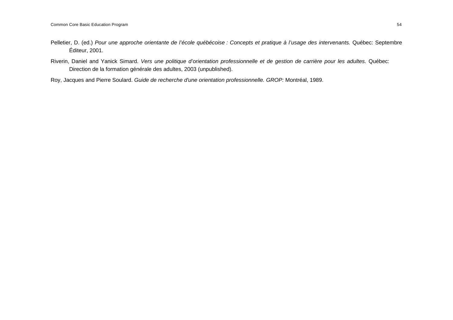- Pelletier, D. (ed.) *Pour une approche orientante de l'école québécoise : Concepts et pratique à l'usage des intervenants.* Québec: Septembre Éditeur, 2001.
- Riverin, Daniel and Yanick Simard. *Vers une politique d'orientation professionnelle et de gestion de carrière pour les adultes.* Québec: Direction de la formation générale des adultes, 2003 (unpublished).

Roy, Jacques and Pierre Soulard. *Guide de recherche d'une orientation professionnelle. GROP:* Montréal, 1989.